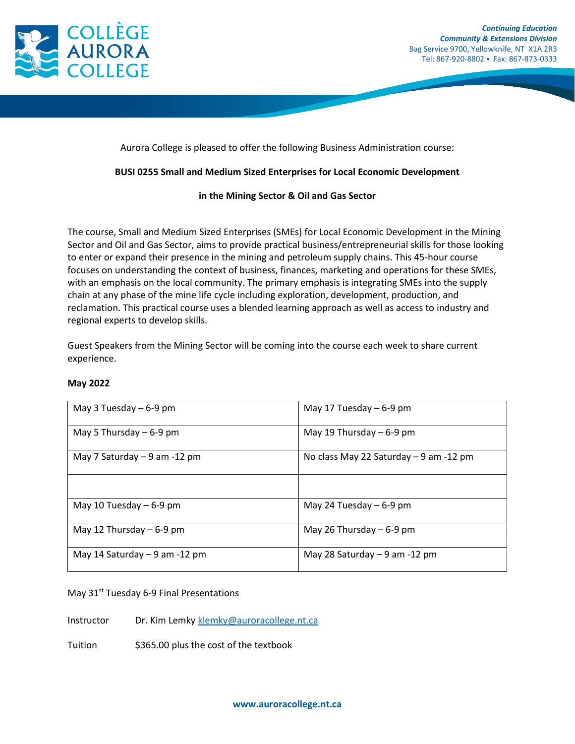

Aurora College is pleased to offer the following Business Administration course:

## **BUSI 0255 Small and Medium Sized Enterprises for Local Economic Development**

## **in the Mining Sector & Oil and Gas Sector**

The course, Small and Medium Sized Enterprises (SMEs) for Local Economic Development in the Mining Sector and Oil and Gas Sector, aims to provide practical business/entrepreneurial skills for those looking to enter or expand their presence in the mining and petroleum supply chains. This 45-hour course focuses on understanding the context of business, finances, marketing and operations for these SMEs, with an emphasis on the local community. The primary emphasis is integrating SMEs into the supply chain at any phase of the mine life cycle including exploration, development, production, and reclamation. This practical course uses a blended learning approach as well as access to industry and regional experts to develop skills.

Guest Speakers from the Mining Sector will be coming into the course each week to share current experience.

| May 3 Tuesday $-6-9$ pm        | May 17 Tuesday $-6-9$ pm               |
|--------------------------------|----------------------------------------|
| May 5 Thursday $-6-9$ pm       | May 19 Thursday $-6-9$ pm              |
| May 7 Saturday – 9 am -12 pm   | No class May 22 Saturday - 9 am -12 pm |
|                                |                                        |
| May 10 Tuesday $-6-9$ pm       | May 24 Tuesday $-6-9$ pm               |
| May 12 Thursday $-6-9$ pm      | May 26 Thursday $-6-9$ pm              |
| May 14 Saturday $-9$ am -12 pm | May 28 Saturday $-9$ am -12 pm         |

## **May 2022**

May 31<sup>st</sup> Tuesday 6-9 Final Presentations

Instructor Dr. Kim Lemk[y klemky@auroracollege.nt.ca](mailto:klemky@auroracollege.nt.ca)

Tuition \$365.00 plus the cost of the textbook